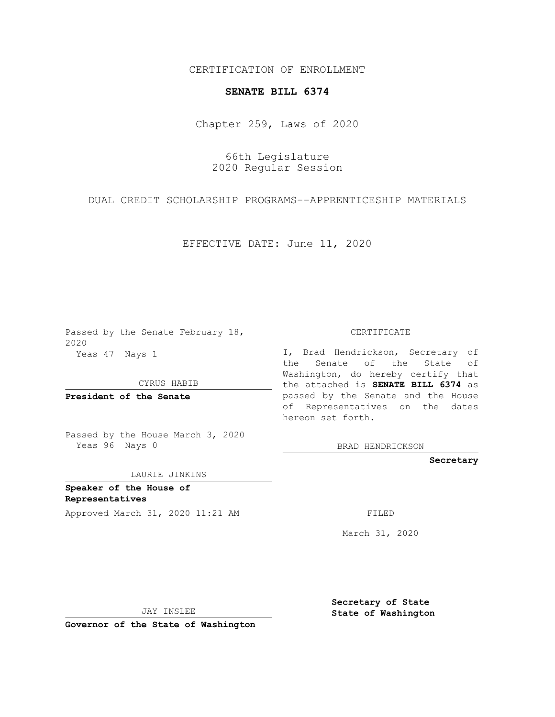## CERTIFICATION OF ENROLLMENT

## **SENATE BILL 6374**

Chapter 259, Laws of 2020

66th Legislature 2020 Regular Session

DUAL CREDIT SCHOLARSHIP PROGRAMS--APPRENTICESHIP MATERIALS

EFFECTIVE DATE: June 11, 2020

Passed by the Senate February 18, 2020 Yeas 47 Nays 1

CYRUS HABIB

**President of the Senate**

Passed by the House March 3, 2020 Yeas 96 Nays 0

LAURIE JINKINS

**Speaker of the House of Representatives**

Approved March 31, 2020 11:21 AM

CERTIFICATE

I, Brad Hendrickson, Secretary of the Senate of the State of Washington, do hereby certify that the attached is **SENATE BILL 6374** as passed by the Senate and the House of Representatives on the dates hereon set forth.

BRAD HENDRICKSON

**Secretary**

March 31, 2020

JAY INSLEE

**Governor of the State of Washington**

**Secretary of State State of Washington**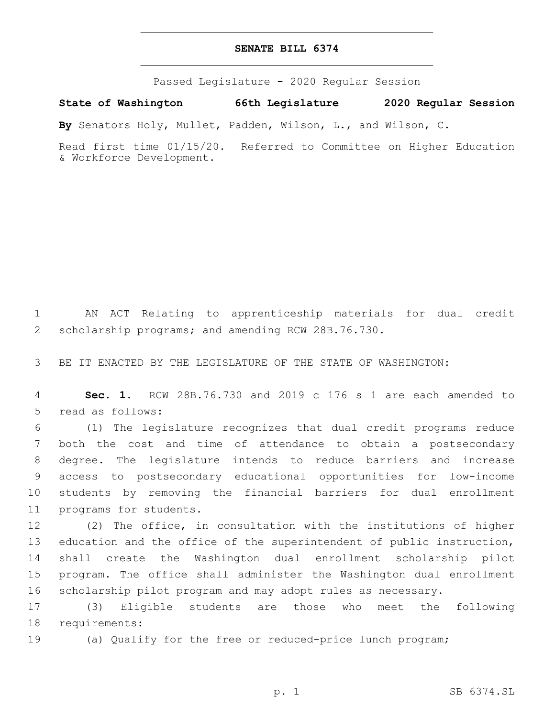## **SENATE BILL 6374**

Passed Legislature - 2020 Regular Session

**State of Washington 66th Legislature 2020 Regular Session**

**By** Senators Holy, Mullet, Padden, Wilson, L., and Wilson, C.

Read first time 01/15/20. Referred to Committee on Higher Education & Workforce Development.

1 AN ACT Relating to apprenticeship materials for dual credit 2 scholarship programs; and amending RCW 28B.76.730.

3 BE IT ENACTED BY THE LEGISLATURE OF THE STATE OF WASHINGTON:

4 **Sec. 1.** RCW 28B.76.730 and 2019 c 176 s 1 are each amended to 5 read as follows:

 (1) The legislature recognizes that dual credit programs reduce both the cost and time of attendance to obtain a postsecondary degree. The legislature intends to reduce barriers and increase access to postsecondary educational opportunities for low-income students by removing the financial barriers for dual enrollment 11 programs for students.

 (2) The office, in consultation with the institutions of higher education and the office of the superintendent of public instruction, shall create the Washington dual enrollment scholarship pilot program. The office shall administer the Washington dual enrollment scholarship pilot program and may adopt rules as necessary.

17 (3) Eligible students are those who meet the following 18 requirements:

19 (a) Qualify for the free or reduced-price lunch program;